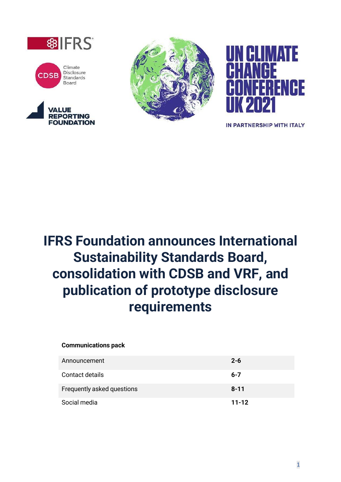









IN PARTNERSHIP WITH ITALY

# **IFRS Foundation announces International Sustainability Standards Board, consolidation with CDSB and VRF, and publication of prototype disclosure requirements**

#### **Communications pack**

| Announcement               | $2 - 6$   |
|----------------------------|-----------|
| Contact details            | $6 - 7$   |
| Frequently asked questions | $8 - 11$  |
| Social media               | $11 - 12$ |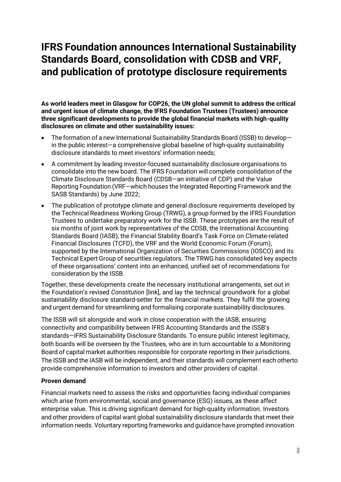### **IFRS Foundation announces International Sustainability Standards Board, consolidation with CDSB and VRF, and publication of prototype disclosure requirements**

**As world leaders meet in Glasgow for COP26, the UN global summit to address the critical and urgent issue of climate change, the IFRS Foundation Trustees (Trustees) announce three significant developments to provide the global financial markets with high-quality disclosures on climate and other sustainability issues:**

- The formation of a new International Sustainability Standards Board (ISSB) to develop in the public interest—a comprehensive global baseline of high-quality sustainability disclosure standards to meet investors' information needs;
- A commitment by leading investor-focused sustainability disclosure organisations to consolidate into the new board. The IFRS Foundation will complete consolidation of the Climate Disclosure Standards Board (CDSB—an initiative of CDP) and the Value Reporting Foundation (VRF—which houses the Integrated Reporting Framework and the SASB Standards) by June 2022;
- The publication of prototype climate and general disclosure requirements developed by the Technical Readiness Working Group (TRWG), a group formed by the IFRS Foundation Trustees to undertake preparatory work for the ISSB. These prototypes are the result of six months of joint work by representatives of the CDSB, the International Accounting Standards Board (IASB), the Financial Stability Board's Task Force on Climate-related Financial Disclosures (TCFD), the VRF and the World Economic Forum (Forum), supported by the International Organization of Securities Commissions (IOSCO) and its Technical Expert Group of securities regulators. The TRWG has consolidated key aspects of these organisations' content into an enhanced, unified set of recommendations for consideration by the ISSB.

Together, these developments create the necessary institutional arrangements, set out in the Foundation's revised *Constitution* [link], and lay the technical groundwork for a global sustainability disclosure standard-setter for the financial markets. They fulfil the growing and urgent demand for streamlining and formalising corporate sustainability disclosures.

The ISSB will sit alongside and work in close cooperation with the IASB, ensuring connectivity and compatibility between IFRS Accounting Standards and the ISSB's standards—IFRS Sustainability Disclosure Standards. To ensure public interest legitimacy, both boards will be overseen by the Trustees, who are in turn accountable to a Monitoring Board of capital market authorities responsible for corporate reporting in their jurisdictions. The ISSB and the IASB will be independent, and their standards will complement each otherto provide comprehensive information to investors and other providers of capital.

#### **Proven demand**

Financial markets need to assess the risks and opportunities facing individual companies which arise from environmental, social and governance (ESG) issues, as these affect enterprise value. This is driving significant demand for high-quality information. Investors and other providers of capital want global sustainability disclosure standards that meet their information needs. Voluntary reporting frameworks and guidance have prompted innovation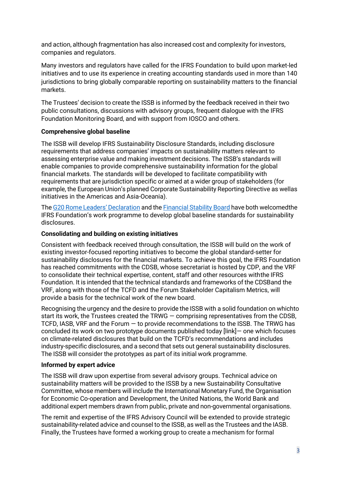and action, although fragmentation has also increased cost and complexity for investors, companies and regulators.

Many investors and regulators have called for the IFRS Foundation to build upon market-led initiatives and to use its experience in creating accounting standards used in more than 140 jurisdictions to bring globally comparable reporting on sustainability matters to the financial markets.

The Trustees' decision to create the ISSB is informed by the feedback received in their two public consultations, discussions with advisory groups, frequent dialogue with the IFRS Foundation Monitoring Board, and with support from IOSCO and others.

#### **Comprehensive global baseline**

The ISSB will develop IFRS Sustainability Disclosure Standards, including disclosure requirements that address companies' impacts on sustainability matters relevant to assessing enterprise value and making investment decisions. The ISSB's standards will enable companies to provide comprehensive sustainability information for the global financial markets. The standards will be developed to facilitate compatibility with requirements that are jurisdiction specific or aimed at a wider group of stakeholders (for example, the European Union's planned Corporate Sustainability Reporting Directive as wellas initiatives in the Americas and Asia-Oceania).

The G20 Rome Leaders' [Declaration](https://www.g20.org/wp-content/uploads/2021/10/G20-ROME-LEADERS-DECLARATION.pdf) and the [Financial](https://www.fsb.org/2021/10/fsb-welcomes-tcfd-status-report-2/) Stability Board have both welcomedthe IFRS Foundation's work programme to develop global baseline standards for sustainability disclosures.

#### **Consolidating and building on existing initiatives**

Consistent with feedback received through consultation, the ISSB will build on the work of existing investor-focused reporting initiatives to become the global standard-setter for sustainability disclosures for the financial markets. To achieve this goal, the IFRS Foundation has reached commitments with the CDSB, whose secretariat is hosted by CDP, and the VRF to consolidate their technical expertise, content, staff and other resources withthe IFRS Foundation. It is intended that the technical standards and frameworks of the CDSBand the VRF, along with those of the TCFD and the Forum Stakeholder Capitalism Metrics, will provide a basis for the technical work of the new board.

Recognising the urgency and the desire to provide the ISSB with a solid foundation on whichto start its work, the Trustees created the TRWG — comprising representatives from the CDSB, TCFD, IASB, VRF and the Forum — to provide recommendations to the ISSB. The TRWG has concluded its work on two prototype documents published today [link]— one which focuses on climate-related disclosures that build on the TCFD's recommendations and includes industry-specific disclosures, and a second that sets out general sustainability disclosures. The ISSB will consider the prototypes as part of its initial work programme.

#### **Informed by expert advice**

The ISSB will draw upon expertise from several advisory groups. Technical advice on sustainability matters will be provided to the ISSB by a new Sustainability Consultative Committee, whose members will include the International Monetary Fund, the Organisation for Economic Co-operation and Development, the United Nations, the World Bank and additional expert members drawn from public, private and non-governmental organisations.

The remit and expertise of the IFRS Advisory Council will be extended to provide strategic sustainability-related advice and counsel to the ISSB, as well as the Trustees and the IASB. Finally, the Trustees have formed a working group to create a mechanism for formal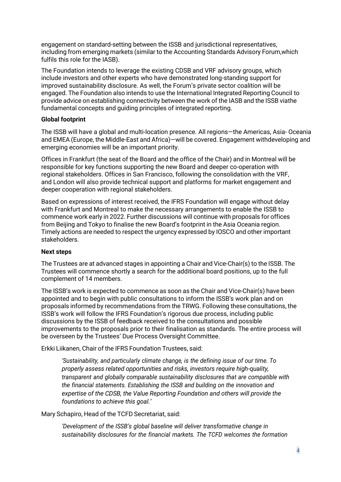engagement on standard-setting between the ISSB and jurisdictional representatives, including from emerging markets (similar to the Accounting Standards Advisory Forum,which fulfils this role for the IASB).

The Foundation intends to leverage the existing CDSB and VRF advisory groups, which include investors and other experts who have demonstrated long-standing support for improved sustainability disclosure. As well, the Forum's private sector coalition will be engaged. The Foundation also intends to use the International Integrated Reporting Council to provide advice on establishing connectivity between the work of the IASB and the ISSB viathe fundamental concepts and guiding principles of integrated reporting.

#### **Global footprint**

The ISSB will have a global and multi-location presence. All regions—the Americas, Asia- Oceania and EMEA (Europe, the Middle-East and Africa)—will be covered. Engagement withdeveloping and emerging economies will be an important priority.

Offices in Frankfurt (the seat of the Board and the office of the Chair) and in Montreal will be responsible for key functions supporting the new Board and deeper co-operation with regional stakeholders. Offices in San Francisco, following the consolidation with the VRF, and London will also provide technical support and platforms for market engagement and deeper cooperation with regional stakeholders.

Based on expressions of interest received, the IFRS Foundation will engage without delay with Frankfurt and Montreal to make the necessary arrangements to enable the ISSB to commence work early in 2022. Further discussions will continue with proposals for offices from Beijing and Tokyo to finalise the new Board's footprint in the Asia Oceania region. Timely actions are needed to respect the urgency expressed by IOSCO and other important stakeholders.

#### **Next steps**

The Trustees are at advanced stages in appointing a Chair and Vice-Chair(s) to the ISSB. The Trustees will commence shortly a search for the additional board positions, up to the full complement of 14 members.

The ISSB's work is expected to commence as soon as the Chair and Vice-Chair(s) have been appointed and to begin with public consultations to inform the ISSB's work plan and on proposals informed by recommendations from the TRWG. Following these consultations, the ISSB's work will follow the IFRS Foundation's rigorous due process, including public discussions by the ISSB of feedback received to the consultations and possible improvements to the proposals prior to their finalisation as standards. The entire process will be overseen by the Trustees' Due Process Oversight Committee.

Erkki Liikanen, Chair of the IFRS Foundation Trustees, said:

*'Sustainability, and particularly climate change, is the defining issue of our time. To properly assess related opportunities and risks, investors require high-quality, transparent and globally comparable sustainability disclosures that are compatible with the financial statements. Establishing the ISSB and building on the innovation and expertise of the CDSB, the Value Reporting Foundation and others will provide the foundations to achieve this goal.'*

Mary Schapiro, Head of the TCFD Secretariat, said:

*'Development of the ISSB's global baseline will deliver transformative change in sustainability disclosures for the financial markets. The TCFD welcomes the formation*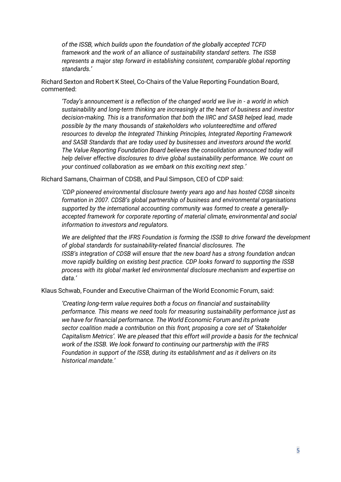*of the ISSB, which builds upon the foundation of the globally accepted TCFD framework and the work of an alliance of sustainability standard setters. The ISSB represents a major step forward in establishing consistent, comparable global reporting standards.'*

Richard Sexton and Robert K Steel, Co-Chairs of the Value Reporting Foundation Board, commented:

*'Today's announcement is a reflection of the changed world we live in - a world in which sustainability and long-term thinking are increasingly at the heart of business and investor decision-making. This is a transformation that both the IIRC and SASB helped lead, made possible by the many thousands of stakeholders who volunteeredtime and offered resources to develop the Integrated Thinking Principles, Integrated Reporting Framework and SASB Standards that are today used by businesses and investors around the world. The Value Reporting Foundation Board believes the consolidation announced today will help deliver effective disclosures to drive global sustainability performance. We count on your continued collaboration as we embark on this exciting next step.'*

Richard Samans, Chairman of CDSB, and Paul Simpson, CEO of CDP said:

*'CDP pioneered environmental disclosure twenty years ago and has hosted CDSB sinceits formation in 2007. CDSB's global partnership of business and environmental organisations supported by the international accounting community was formed to create a generallyaccepted framework for corporate reporting of material climate, environmental and social information to investors and regulators.*

*We are delighted that the IFRS Foundation is forming the ISSB to drive forward the development of global standards for sustainability-related financial disclosures. The ISSB's integration of CDSB will ensure that the new board has a strong foundation andcan move rapidly building on existing best practice. CDP looks forward to supporting the ISSB process with its global market led environmental disclosure mechanism and expertise on data.'*

Klaus Schwab, Founder and Executive Chairman of the World Economic Forum, said:

*'Creating long-term value requires both a focus on financial and sustainability performance. This means we need tools for measuring sustainability performance just as we have for financial performance. The World Economic Forum and its private sector coalition made a contribution on this front, proposing a core set of 'Stakeholder Capitalism Metrics'. We are pleased that this effort will provide a basis for the technical work of the ISSB. We look forward to continuing our partnership with the IFRS Foundation in support of the ISSB, during its establishment and as it delivers on its historical mandate.'*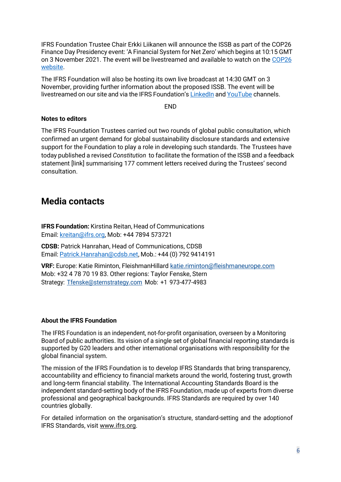IFRS Foundation Trustee Chair Erkki Liikanen will announce the ISSB as part of the COP26 Finance Day Presidency event: 'A Financial System for Net Zero' which begins at 10:15 GMT on 3 November 2021. The event will be livestreamed and available to watch on the [COP26](https://unfccc-cop26.streamworld.de/webcast/presidency-event-a-financial-system-for-net-zero) [website.](https://unfccc-cop26.streamworld.de/webcast/presidency-event-a-financial-system-for-net-zero)

The IFRS Foundation will also be hosting its own live broadcast at 14:30 GMT on 3 November, providing further information about the proposed ISSB. The event will be livestreamed on our site and via the IFRS Foundation's [LinkedIn](https://www.linkedin.com/company/ifrs-foundation/) and [YouTube](https://www.youtube.com/user/IFRSFoundation) channels.

END

#### **Notes to editors**

The IFRS Foundation Trustees carried out two rounds of global public consultation, which confirmed an urgent demand for global sustainability disclosure standards and extensive support for the Foundation to play a role in developing such standards. The Trustees have today published a revised *Constitution* to facilitate the formation of the ISSB and a feedback statement [link] summarising 177 comment letters received during the Trustees' second consultation.

### **Media contacts**

**IFRS Foundation:** Kirstina Reitan, Head of Communications Email: [kreitan@ifrs.org,](mailto:kreitan@ifrs.org) Mob: +44 7894 573721

**CDSB:** Patrick Hanrahan, Head of Communications, CDSB Email: [Patrick.Hanrahan@cdsb.net,](mailto:Patrick.Hanrahan@cdsb.net) Mob.: +44 (0) 792 9414191

**VRF:** Europe: Katie Riminton, FleishmanHillard [katie.riminton@fleishmaneurope.com](mailto:katie.riminton@fleishmaneurope.com) Mob: +32 4 78 70 19 83. Other regions: Taylor Fenske, Stern Strategy: [Tfenske@sternstrategy.com](mailto:Tfenske@sternstrategy.com) Mob: +1 973-477-4983

#### **About the IFRS Foundation**

The IFRS Foundation is an independent, not-for-profit organisation, overseen by a Monitoring Board of public authorities. Its vision of a single set of global financial reporting standards is supported by G20 leaders and other international organisations with responsibility for the global financial system.

The mission of the IFRS Foundation is to develop IFRS Standards that bring transparency, accountability and efficiency to financial markets around the world, fostering trust, growth and long-term financial stability. The International Accounting Standards Board is the independent standard-setting body of the IFRS Foundation, made up of experts from diverse professional and geographical backgrounds. IFRS Standards are required by over 140 countries globally.

For detailed information on the organisation's structure, standard-setting and the adoptionof IFRS Standards, visit [www.ifrs.org.](http://www.ifrs.org/)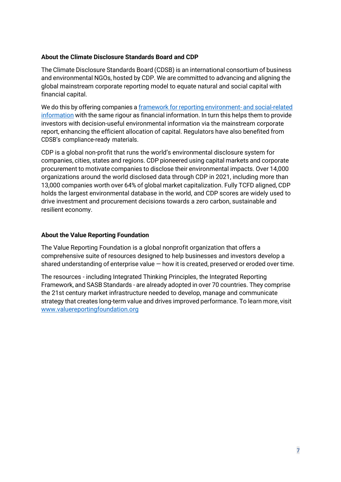#### **About the Climate Disclosure Standards Board and CDP**

The Climate Disclosure Standards Board (CDSB) is an international consortium of business and environmental NGOs, hosted by CDP. We are committed to advancing and aligning the global mainstream corporate reporting model to equate natural and social capital with financial capital.

We do this by offering companies a framework for reporting environment- and [social-related](https://protect-eu.mimecast.com/s/6GdoCnRv9TyXM2U9uVKQ?domain=dev-cdsb.pantheonsite.io) [information](https://protect-eu.mimecast.com/s/6GdoCnRv9TyXM2U9uVKQ?domain=dev-cdsb.pantheonsite.io) with the same rigour as financial information. In turn this helps them to provide investors with decision-useful environmental information via the mainstream corporate report, enhancing the efficient allocation of capital. Regulators have also benefited from CDSB's compliance-ready materials.

CDP is a global non-profit that runs the world's environmental disclosure system for companies, cities, states and regions. CDP pioneered using capital markets and corporate procurement to motivate companies to disclose their environmental impacts. Over 14,000 organizations around the world disclosed data through CDP in 2021, including more than 13,000 companies worth over 64% of global market capitalization. Fully TCFD aligned, CDP holds the largest environmental database in the world, and CDP scores are widely used to drive investment and procurement decisions towards a zero carbon, sustainable and resilient economy.

#### **About the Value Reporting Foundation**

The Value Reporting Foundation is a global nonprofit organization that offers a comprehensive suite of resources designed to help businesses and investors develop a shared understanding of enterprise value — how it is created, preserved or eroded over time.

The resources - including Integrated Thinking Principles, the Integrated Reporting Framework, and SASB Standards - are already adopted in over 70 countries. They comprise the 21st century market infrastructure needed to develop, manage and communicate strategy that creates long-term value and drives improved performance. To learn more, visit [www.valuereportingfoundation.org](file:///C:/Users/JulietMarkham/AppData/Local/Microsoft/Windows/INetCache/Content.Outlook/CTHWPRQ9/www.valuereportingfoundation.org)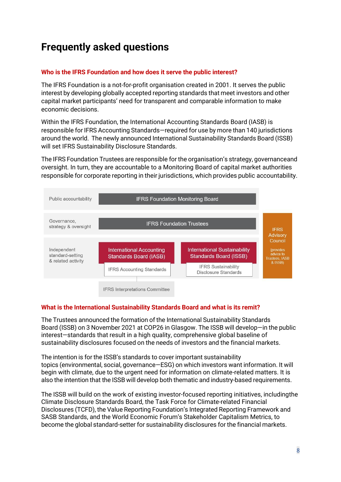## **Frequently asked questions**

#### **Who is the IFRS Foundation and how does it serve the public interest?**

The IFRS Foundation is a not-for-profit organisation created in 2001. It serves the public interest by developing globally accepted reporting standards that meet investors and other capital market participants' need for transparent and comparable information to make economic decisions.

Within the IFRS Foundation, the International Accounting Standards Board (IASB) is responsible for IFRS Accounting Standards—required for use by more than 140 jurisdictions around the world. The newly announced International Sustainability Standards Board (ISSB) will set IFRS Sustainability Disclosure Standards.

The IFRS Foundation Trustees are responsible for the organisation's strategy, governanceand oversight. In turn, they are accountable to a Monitoring Board of capital market authorities responsible for corporate reporting in their jurisdictions, which provides public accountability.



#### **What is the International Sustainability Standards Board and what is its remit?**

The Trustees announced the formation of the International Sustainability Standards Board (ISSB) on 3 November 2021 at COP26 in Glasgow. The ISSB will develop—in the public interest—standards that result in a high quality, comprehensive global baseline of sustainability disclosures focused on the needs of investors and the financial markets.

The intention is for the ISSB's standards to cover important sustainability topics (environmental, social, governance—ESG) on which investors want information. It will begin with climate, due to the urgent need for information on climate-related matters. It is also the intention that the ISSB will develop both thematic and industry-based requirements.

The ISSB will build on the work of existing investor-focused reporting initiatives, includingthe Climate Disclosure Standards Board, the Task Force for Climate-related Financial Disclosures (TCFD), the Value Reporting Foundation's Integrated Reporting Framework and SASB Standards, and the World Economic Forum's Stakeholder Capitalism Metrics, to become the global standard-setter for sustainability disclosures for the financial markets.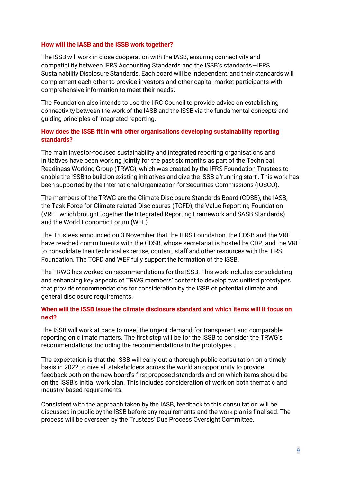#### **How will the IASB and the ISSB work together?**

The ISSB will work in close cooperation with the IASB, ensuring connectivity and compatibility between IFRS Accounting Standards and the ISSB's standards—IFRS Sustainability Disclosure Standards. Each board will be independent, and their standards will complement each other to provide investors and other capital market participants with comprehensive information to meet their needs.

The Foundation also intends to use the IIRC Council to provide advice on establishing connectivity between the work of the IASB and the ISSB via the fundamental concepts and guiding principles of integrated reporting.

#### **How does the ISSB fit in with other organisations developing sustainability reporting standards?**

The main investor-focused sustainability and integrated reporting organisations and initiatives have been working jointly for the past six months as part of the Technical Readiness Working Group (TRWG), which was created by the IFRS Foundation Trustees to enable the ISSB to build on existing initiatives and give the ISSB a 'running start'. This work has been supported by the International Organization for Securities Commissions (IOSCO).

The members of the TRWG are the Climate Disclosure Standards Board (CDSB), the IASB, the Task Force for Climate-related Disclosures (TCFD), the Value Reporting Foundation (VRF—which brought together the Integrated Reporting Framework and SASB Standards) and the World Economic Forum (WEF).

The Trustees announced on 3 November that the IFRS Foundation, the CDSB and the VRF have reached commitments with the CDSB, whose secretariat is hosted by CDP, and the VRF to consolidate their technical expertise, content, staff and other resources with the IFRS Foundation. The TCFD and WEF fully support the formation of the ISSB.

The TRWG has worked on recommendations for the ISSB. This work includes consolidating and enhancing key aspects of TRWG members' content to develop two unified prototypes that provide recommendations for consideration by the ISSB of potential climate and general disclosure requirements.

#### **When will the ISSB issue the climate disclosure standard and which items will it focus on next?**

The ISSB will work at pace to meet the urgent demand for transparent and comparable reporting on climate matters. The first step will be for the ISSB to consider the TRWG's recommendations, including the recommendations in the prototypes .

The expectation is that the ISSB will carry out a thorough public consultation on a timely basis in 2022 to give all stakeholders across the world an opportunity to provide feedback both on the new board's first proposed standards and on which items should be on the ISSB's initial work plan. This includes consideration of work on both thematic and industry-based requirements.

Consistent with the approach taken by the IASB, feedback to this consultation will be discussed in public by the ISSB before any requirements and the work plan is finalised. The process will be overseen by the Trustees' Due Process Oversight Committee.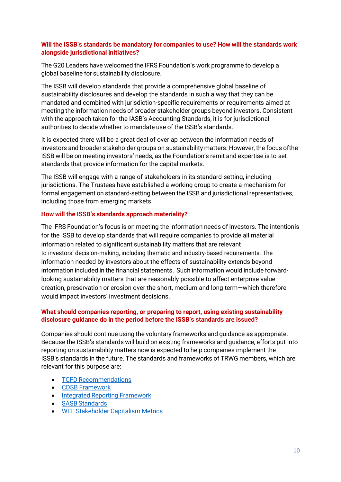#### **Will the ISSB's standards be mandatory for companies to use? How will the standards work alongside jurisdictional initiatives?**

The G20 Leaders have welcomed the IFRS Foundation's work programme to develop a global baseline for sustainability disclosure.

The ISSB will develop standards that provide a comprehensive global baseline of sustainability disclosures and develop the standards in such a way that they can be mandated and combined with jurisdiction-specific requirements or requirements aimed at meeting the information needs of broader stakeholder groups beyond investors. Consistent with the approach taken for the IASB's Accounting Standards, it is for jurisdictional authorities to decide whether to mandate use of the ISSB's standards.

It is expected there will be a great deal of overlap between the information needs of investors and broader stakeholder groups on sustainability matters. However, the focus ofthe ISSB will be on meeting investors' needs, as the Foundation's remit and expertise is to set standards that provide information for the capital markets.

The ISSB will engage with a range of stakeholders in its standard-setting, including jurisdictions. The Trustees have established a working group to create a mechanism for formal engagement on standard-setting between the ISSB and jurisdictional representatives, including those from emerging markets.

#### **How will the ISSB's standards approach materiality?**

The IFRS Foundation's focus is on meeting the information needs of investors. The intentionis for the ISSB to develop standards that will require companies to provide all material information related to significant sustainability matters that are relevant to investors' decision-making, including thematic and industry-based requirements. The information needed by investors about the effects of sustainability extends beyond information included in the financial statements. Such information would include forwardlooking sustainability matters that are reasonably possible to affect enterprise value creation, preservation or erosion over the short, medium and long term—which therefore would impact investors' investment decisions.

#### **What should companies reporting, or preparing to report, using existing sustainability disclosure guidance do in the period before the ISSB's standards are issued?**

Companies should continue using the voluntary frameworks and guidance as appropriate. Because the ISSB's standards will build on existing frameworks and guidance, efforts put into reporting on sustainability matters now is expected to help companies implement the ISSB's standards in the future. The standards and frameworks of TRWG members, which are relevant for this purpose are:

- TCFD [Recommendations](https://www.fsb-tcfd.org/recommendations/)
- CDSB [Framework](https://www.cdsb.net/what-we-do/reporting-frameworks/environmental-information-natural-capital)
- Integrated Reporting [Framework](https://www.integratedreporting.org/resource/international-ir-framework/)
- SASB [Standards](https://www.sasb.org/standards/download/)
- WEF [Stakeholder](https://www.weforum.org/stakeholdercapitalism/our-metrics) Capitalism Metrics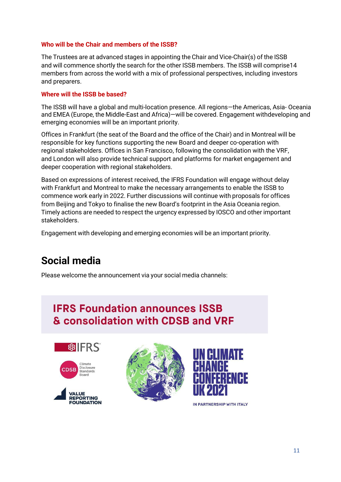#### **Who will be the Chair and members of the ISSB?**

The Trustees are at advanced stages in appointing the Chair and Vice-Chair(s) of the ISSB and will commence shortly the search for the other ISSB members. The ISSB will comprise14 members from across the world with a mix of professional perspectives, including investors and preparers.

#### **Where will the ISSB be based?**

The ISSB will have a global and multi-location presence. All regions—the Americas, Asia- Oceania and EMEA (Europe, the Middle-East and Africa)—will be covered. Engagement withdeveloping and emerging economies will be an important priority.

Offices in Frankfurt (the seat of the Board and the office of the Chair) and in Montreal will be responsible for key functions supporting the new Board and deeper co-operation with regional stakeholders. Offices in San Francisco, following the consolidation with the VRF, and London will also provide technical support and platforms for market engagement and deeper cooperation with regional stakeholders.

Based on expressions of interest received, the IFRS Foundation will engage without delay with Frankfurt and Montreal to make the necessary arrangements to enable the ISSB to commence work early in 2022. Further discussions will continue with proposals for offices from Beijing and Tokyo to finalise the new Board's footprint in the Asia Oceania region. Timely actions are needed to respect the urgency expressed by IOSCO and other important stakeholders.

Engagement with developing and emerging economies will be an important priority.

### **Social media**

Please welcome the announcement via your social media channels:

### **IFRS Foundation announces ISSB** & consolidation with CDSB and VRF







IN PARTNERSHIP WITH ITALY